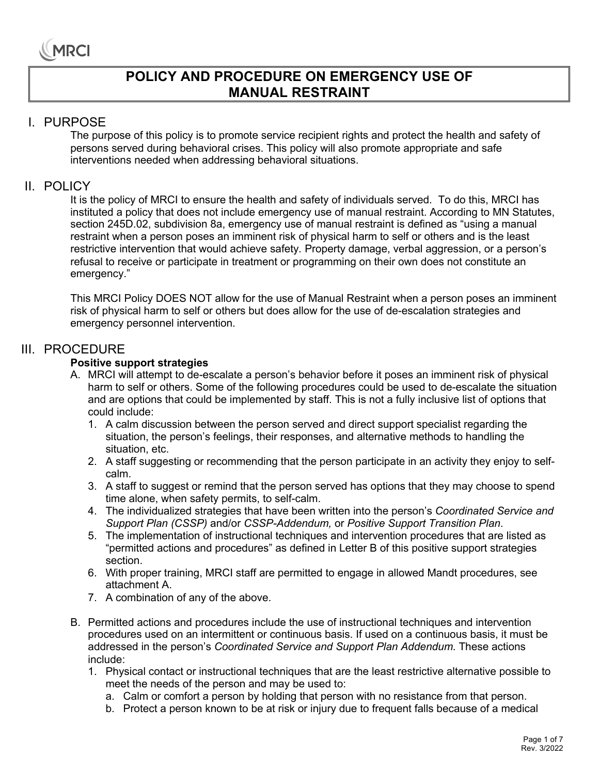### **POLICY AND PROCEDURE ON EMERGENCY USE OF MANUAL RESTRAINT**

#### I. PURPOSE

The purpose of this policy is to promote service recipient rights and protect the health and safety of persons served during behavioral crises. This policy will also promote appropriate and safe interventions needed when addressing behavioral situations.

#### II. POLICY

It is the policy of MRCI to ensure the health and safety of individuals served. To do this, MRCI has instituted a policy that does not include emergency use of manual restraint. According to MN Statutes, section 245D.02, subdivision 8a, emergency use of manual restraint is defined as "using a manual restraint when a person poses an imminent risk of physical harm to self or others and is the least restrictive intervention that would achieve safety*.* Property damage, verbal aggression, or a person's refusal to receive or participate in treatment or programming on their own does not constitute an emergency."

This MRCI Policy DOES NOT allow for the use of Manual Restraint when a person poses an imminent risk of physical harm to self or others but does allow for the use of de-escalation strategies and emergency personnel intervention.

#### III. PROCEDURE

#### **Positive support strategies**

- A. MRCI will attempt to de-escalate a person's behavior before it poses an imminent risk of physical harm to self or others. Some of the following procedures could be used to de-escalate the situation and are options that could be implemented by staff. This is not a fully inclusive list of options that could include:
	- 1. A calm discussion between the person served and direct support specialist regarding the situation, the person's feelings, their responses, and alternative methods to handling the situation, etc.
	- 2. A staff suggesting or recommending that the person participate in an activity they enjoy to selfcalm.
	- 3. A staff to suggest or remind that the person served has options that they may choose to spend time alone, when safety permits, to self-calm.
	- 4. The individualized strategies that have been written into the person's *Coordinated Service and Support Plan (CSSP)* and/or *CSSP-Addendum,* or *Positive Support Transition Plan*.
	- 5. The implementation of instructional techniques and intervention procedures that are listed as "permitted actions and procedures" as defined in Letter B of this positive support strategies section.
	- 6. With proper training, MRCI staff are permitted to engage in allowed Mandt procedures, see attachment A.
	- 7. A combination of any of the above.
- B. Permitted actions and procedures include the use of instructional techniques and intervention procedures used on an intermittent or continuous basis. If used on a continuous basis, it must be addressed in the person's *Coordinated Service and Support Plan Addendum*. These actions include:
	- 1. Physical contact or instructional techniques that are the least restrictive alternative possible to meet the needs of the person and may be used to:
		- a. Calm or comfort a person by holding that person with no resistance from that person.
		- b. Protect a person known to be at risk or injury due to frequent falls because of a medical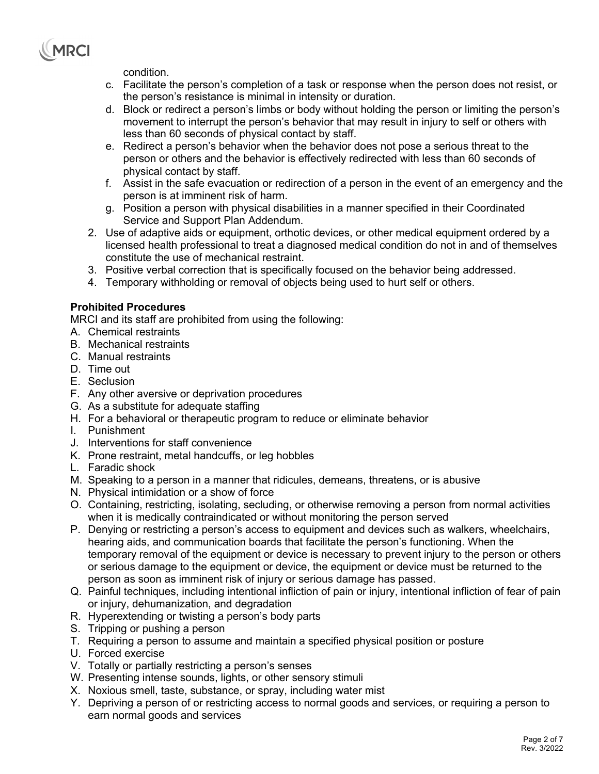

condition.

- c. Facilitate the person's completion of a task or response when the person does not resist, or the person's resistance is minimal in intensity or duration.
- d. Block or redirect a person's limbs or body without holding the person or limiting the person's movement to interrupt the person's behavior that may result in injury to self or others with less than 60 seconds of physical contact by staff.
- e. Redirect a person's behavior when the behavior does not pose a serious threat to the person or others and the behavior is effectively redirected with less than 60 seconds of physical contact by staff.
- f. Assist in the safe evacuation or redirection of a person in the event of an emergency and the person is at imminent risk of harm.
- g. Position a person with physical disabilities in a manner specified in their Coordinated Service and Support Plan Addendum.
- 2. Use of adaptive aids or equipment, orthotic devices, or other medical equipment ordered by a licensed health professional to treat a diagnosed medical condition do not in and of themselves constitute the use of mechanical restraint.
- 3. Positive verbal correction that is specifically focused on the behavior being addressed.
- 4. Temporary withholding or removal of objects being used to hurt self or others.

#### **Prohibited Procedures**

MRCI and its staff are prohibited from using the following:

- A. Chemical restraints
- B. Mechanical restraints
- C. Manual restraints
- D. Time out
- E. Seclusion
- F. Any other aversive or deprivation procedures
- G. As a substitute for adequate staffing
- H. For a behavioral or therapeutic program to reduce or eliminate behavior
- I. Punishment
- J. Interventions for staff convenience
- K. Prone restraint, metal handcuffs, or leg hobbles
- L. Faradic shock
- M. Speaking to a person in a manner that ridicules, demeans, threatens, or is abusive
- N. Physical intimidation or a show of force
- O. Containing, restricting, isolating, secluding, or otherwise removing a person from normal activities when it is medically contraindicated or without monitoring the person served
- P. Denying or restricting a person's access to equipment and devices such as walkers, wheelchairs, hearing aids, and communication boards that facilitate the person's functioning. When the temporary removal of the equipment or device is necessary to prevent injury to the person or others or serious damage to the equipment or device, the equipment or device must be returned to the person as soon as imminent risk of injury or serious damage has passed.
- Q. Painful techniques, including intentional infliction of pain or injury, intentional infliction of fear of pain or injury, dehumanization, and degradation
- R. Hyperextending or twisting a person's body parts
- S. Tripping or pushing a person
- T. Requiring a person to assume and maintain a specified physical position or posture
- U. Forced exercise
- V. Totally or partially restricting a person's senses
- W. Presenting intense sounds, lights, or other sensory stimuli
- X. Noxious smell, taste, substance, or spray, including water mist
- Y. Depriving a person of or restricting access to normal goods and services, or requiring a person to earn normal goods and services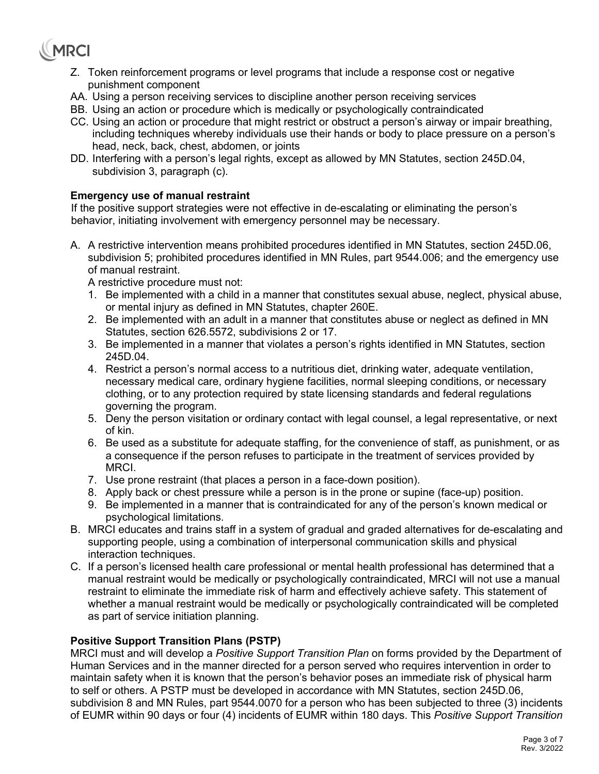# **MRCI**

- Z. Token reinforcement programs or level programs that include a response cost or negative punishment component
- AA. Using a person receiving services to discipline another person receiving services
- BB. Using an action or procedure which is medically or psychologically contraindicated
- CC. Using an action or procedure that might restrict or obstruct a person's airway or impair breathing, including techniques whereby individuals use their hands or body to place pressure on a person's head, neck, back, chest, abdomen, or joints
- DD. Interfering with a person's legal rights, except as allowed by MN Statutes, section 245D.04, subdivision 3, paragraph (c).

#### **Emergency use of manual restraint**

 If the positive support strategies were not effective in de-escalating or eliminating the person's behavior, initiating involvement with emergency personnel may be necessary.

A. A restrictive intervention means prohibited procedures identified in MN Statutes, section 245D.06, subdivision 5; prohibited procedures identified in MN Rules, part 9544.006; and the emergency use of manual restraint.

A restrictive procedure must not:

- 1. Be implemented with a child in a manner that constitutes sexual abuse, neglect, physical abuse, or mental injury as defined in MN Statutes, chapter 260E.
- 2. Be implemented with an adult in a manner that constitutes abuse or neglect as defined in MN Statutes, section 626.5572, subdivisions 2 or 17.
- 3. Be implemented in a manner that violates a person's rights identified in MN Statutes, section 245D.04.
- 4. Restrict a person's normal access to a nutritious diet, drinking water, adequate ventilation, necessary medical care, ordinary hygiene facilities, normal sleeping conditions, or necessary clothing, or to any protection required by state licensing standards and federal regulations governing the program.
- 5. Deny the person visitation or ordinary contact with legal counsel, a legal representative, or next of kin.
- 6. Be used as a substitute for adequate staffing, for the convenience of staff, as punishment, or as a consequence if the person refuses to participate in the treatment of services provided by MRCI.
- 7. Use prone restraint (that places a person in a face-down position).
- 8. Apply back or chest pressure while a person is in the prone or supine (face-up) position.
- 9. Be implemented in a manner that is contraindicated for any of the person's known medical or psychological limitations.
- B. MRCI educates and trains staff in a system of gradual and graded alternatives for de-escalating and supporting people, using a combination of interpersonal communication skills and physical interaction techniques.
- C. If a person's licensed health care professional or mental health professional has determined that a manual restraint would be medically or psychologically contraindicated, MRCI will not use a manual restraint to eliminate the immediate risk of harm and effectively achieve safety. This statement of whether a manual restraint would be medically or psychologically contraindicated will be completed as part of service initiation planning.

#### **Positive Support Transition Plans (PSTP)**

MRCI must and will develop a *Positive Support Transition Plan* on forms provided by the Department of Human Services and in the manner directed for a person served who requires intervention in order to maintain safety when it is known that the person's behavior poses an immediate risk of physical harm to self or others. A PSTP must be developed in accordance with MN Statutes, section 245D.06, subdivision 8 and MN Rules, part 9544.0070 for a person who has been subjected to three (3) incidents of EUMR within 90 days or four (4) incidents of EUMR within 180 days. This *Positive Support Transition*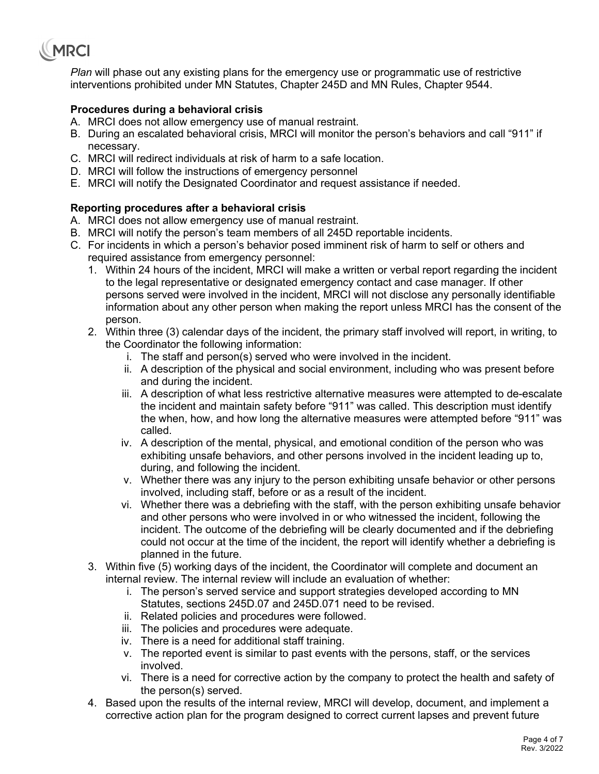

*Plan* will phase out any existing plans for the emergency use or programmatic use of restrictive interventions prohibited under MN Statutes, Chapter 245D and MN Rules, Chapter 9544.

#### **Procedures during a behavioral crisis**

- A. MRCI does not allow emergency use of manual restraint.
- B. During an escalated behavioral crisis, MRCI will monitor the person's behaviors and call "911" if necessary.
- C. MRCI will redirect individuals at risk of harm to a safe location.
- D. MRCI will follow the instructions of emergency personnel
- E. MRCI will notify the Designated Coordinator and request assistance if needed.

#### **Reporting procedures after a behavioral crisis**

- A. MRCI does not allow emergency use of manual restraint.
- B. MRCI will notify the person's team members of all 245D reportable incidents.
- C. For incidents in which a person's behavior posed imminent risk of harm to self or others and required assistance from emergency personnel:
	- 1. Within 24 hours of the incident, MRCI will make a written or verbal report regarding the incident to the legal representative or designated emergency contact and case manager. If other persons served were involved in the incident, MRCI will not disclose any personally identifiable information about any other person when making the report unless MRCI has the consent of the person.
	- 2. Within three (3) calendar days of the incident, the primary staff involved will report, in writing, to the Coordinator the following information:
		- i. The staff and person(s) served who were involved in the incident.
		- ii. A description of the physical and social environment, including who was present before and during the incident.
		- iii. A description of what less restrictive alternative measures were attempted to de-escalate the incident and maintain safety before "911" was called. This description must identify the when, how, and how long the alternative measures were attempted before "911" was called.
		- iv. A description of the mental, physical, and emotional condition of the person who was exhibiting unsafe behaviors, and other persons involved in the incident leading up to, during, and following the incident.
		- v. Whether there was any injury to the person exhibiting unsafe behavior or other persons involved, including staff, before or as a result of the incident.
		- vi. Whether there was a debriefing with the staff, with the person exhibiting unsafe behavior and other persons who were involved in or who witnessed the incident, following the incident. The outcome of the debriefing will be clearly documented and if the debriefing could not occur at the time of the incident, the report will identify whether a debriefing is planned in the future.
	- 3. Within five (5) working days of the incident, the Coordinator will complete and document an internal review. The internal review will include an evaluation of whether:
		- i. The person's served service and support strategies developed according to MN Statutes, sections 245D.07 and 245D.071 need to be revised.
		- ii. Related policies and procedures were followed.
		- iii. The policies and procedures were adequate.
		- iv. There is a need for additional staff training.
		- v. The reported event is similar to past events with the persons, staff, or the services involved.
		- vi. There is a need for corrective action by the company to protect the health and safety of the person(s) served.
	- 4. Based upon the results of the internal review, MRCI will develop, document, and implement a corrective action plan for the program designed to correct current lapses and prevent future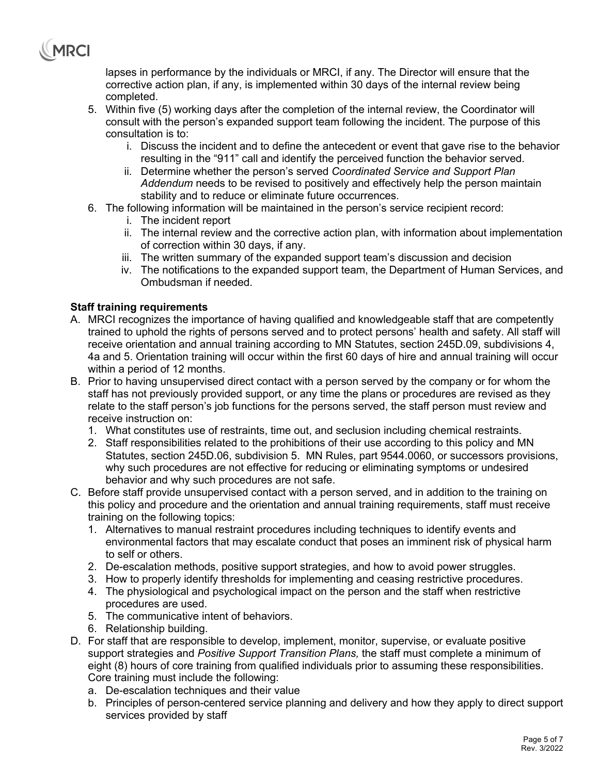

lapses in performance by the individuals or MRCI, if any. The Director will ensure that the corrective action plan, if any, is implemented within 30 days of the internal review being completed.

- 5. Within five (5) working days after the completion of the internal review, the Coordinator will consult with the person's expanded support team following the incident. The purpose of this consultation is to:
	- i. Discuss the incident and to define the antecedent or event that gave rise to the behavior resulting in the "911" call and identify the perceived function the behavior served.
	- ii. Determine whether the person's served *Coordinated Service and Support Plan Addendum* needs to be revised to positively and effectively help the person maintain stability and to reduce or eliminate future occurrences.
- 6. The following information will be maintained in the person's service recipient record:
	- i. The incident report
	- ii. The internal review and the corrective action plan, with information about implementation of correction within 30 days, if any.
	- iii. The written summary of the expanded support team's discussion and decision
	- iv. The notifications to the expanded support team, the Department of Human Services, and Ombudsman if needed.

#### **Staff training requirements**

- A. MRCI recognizes the importance of having qualified and knowledgeable staff that are competently trained to uphold the rights of persons served and to protect persons' health and safety. All staff will receive orientation and annual training according to MN Statutes, section 245D.09, subdivisions 4, 4a and 5. Orientation training will occur within the first 60 days of hire and annual training will occur within a period of 12 months.
- B. Prior to having unsupervised direct contact with a person served by the company or for whom the staff has not previously provided support, or any time the plans or procedures are revised as they relate to the staff person's job functions for the persons served, the staff person must review and receive instruction on:
	- 1. What constitutes use of restraints, time out, and seclusion including chemical restraints.
	- 2. Staff responsibilities related to the prohibitions of their use according to this policy and MN Statutes, section 245D.06, subdivision 5. MN Rules, part 9544.0060, or successors provisions, why such procedures are not effective for reducing or eliminating symptoms or undesired behavior and why such procedures are not safe.
- C. Before staff provide unsupervised contact with a person served, and in addition to the training on this policy and procedure and the orientation and annual training requirements, staff must receive training on the following topics:
	- 1. Alternatives to manual restraint procedures including techniques to identify events and environmental factors that may escalate conduct that poses an imminent risk of physical harm to self or others.
	- 2. De-escalation methods, positive support strategies, and how to avoid power struggles.
	- 3. How to properly identify thresholds for implementing and ceasing restrictive procedures.
	- 4. The physiological and psychological impact on the person and the staff when restrictive procedures are used.
	- 5. The communicative intent of behaviors.
	- 6. Relationship building.
- D. For staff that are responsible to develop, implement, monitor, supervise, or evaluate positive support strategies and *Positive Support Transition Plans,* the staff must complete a minimum of eight (8) hours of core training from qualified individuals prior to assuming these responsibilities. Core training must include the following:
	- a. De-escalation techniques and their value
	- b. Principles of person-centered service planning and delivery and how they apply to direct support services provided by staff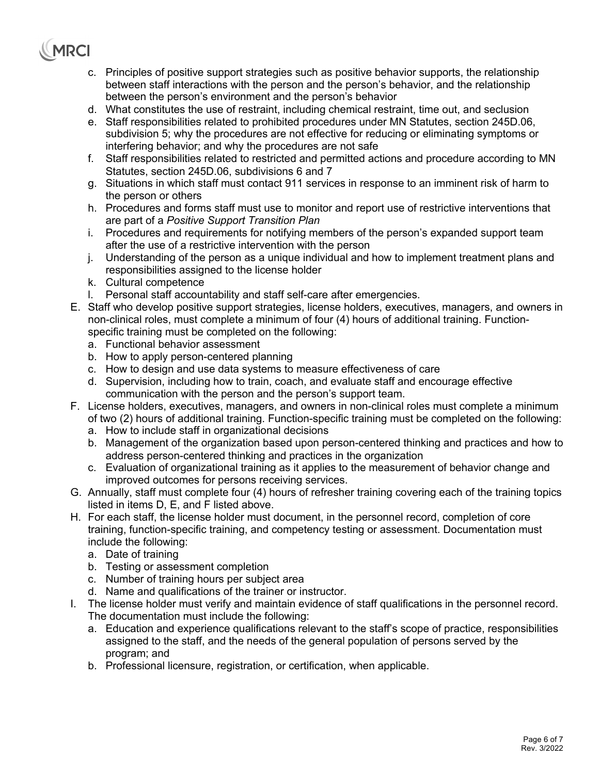# MRCI

- c. Principles of positive support strategies such as positive behavior supports, the relationship between staff interactions with the person and the person's behavior, and the relationship between the person's environment and the person's behavior
- d. What constitutes the use of restraint, including chemical restraint, time out, and seclusion
- e. Staff responsibilities related to prohibited procedures under MN Statutes, section 245D.06, subdivision 5; why the procedures are not effective for reducing or eliminating symptoms or interfering behavior; and why the procedures are not safe
- f. Staff responsibilities related to restricted and permitted actions and procedure according to MN Statutes, section 245D.06, subdivisions 6 and 7
- g. Situations in which staff must contact 911 services in response to an imminent risk of harm to the person or others
- h. Procedures and forms staff must use to monitor and report use of restrictive interventions that are part of a *Positive Support Transition Plan*
- i. Procedures and requirements for notifying members of the person's expanded support team after the use of a restrictive intervention with the person
- j. Understanding of the person as a unique individual and how to implement treatment plans and responsibilities assigned to the license holder
- k. Cultural competence
- l. Personal staff accountability and staff self-care after emergencies.
- E. Staff who develop positive support strategies, license holders, executives, managers, and owners in non-clinical roles, must complete a minimum of four (4) hours of additional training. Functionspecific training must be completed on the following:
	- a. Functional behavior assessment
	- b. How to apply person-centered planning
	- c. How to design and use data systems to measure effectiveness of care
	- d. Supervision, including how to train, coach, and evaluate staff and encourage effective communication with the person and the person's support team.
- F. License holders, executives, managers, and owners in non-clinical roles must complete a minimum of two (2) hours of additional training. Function-specific training must be completed on the following:
	- a. How to include staff in organizational decisions
	- b. Management of the organization based upon person-centered thinking and practices and how to address person-centered thinking and practices in the organization
	- c. Evaluation of organizational training as it applies to the measurement of behavior change and improved outcomes for persons receiving services.
- G. Annually, staff must complete four (4) hours of refresher training covering each of the training topics listed in items D, E, and F listed above.
- H. For each staff, the license holder must document, in the personnel record, completion of core training, function-specific training, and competency testing or assessment. Documentation must include the following:
	- a. Date of training
	- b. Testing or assessment completion
	- c. Number of training hours per subject area
	- d. Name and qualifications of the trainer or instructor.
- I. The license holder must verify and maintain evidence of staff qualifications in the personnel record. The documentation must include the following:
	- a. Education and experience qualifications relevant to the staff's scope of practice, responsibilities assigned to the staff, and the needs of the general population of persons served by the program; and
	- b. Professional licensure, registration, or certification, when applicable.